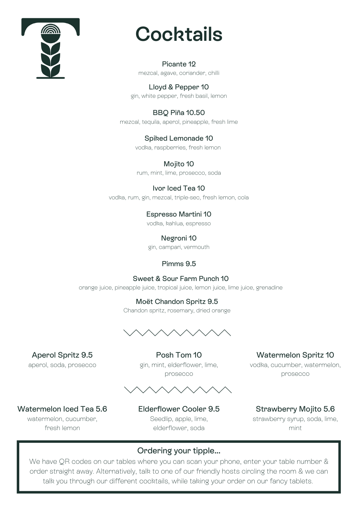

## **Cocktails**

Picante 12 mezcal, agave, coriander, chilli

Lloyd & Pepper 10 gin, white pepper, fresh basil, lemon

BBQ Piña 10.50 mezcal, tequila, aperol, pineapple, fresh lime

> Spiked Lemonade 10 vodka, raspberries, fresh lemon

Mojito 10 rum, mint, lime, prosecco, soda

Ivor Iced Tea 10 vodka, rum, gin, mezcal, triple-sec, fresh lemon, cola

> Espresso Martini 10 vodka, kahlua, espresso

Negroni 10 gin, campari, vermouth

Pimms 9.5

Sweet & Sour Farm Punch 10 orange juice, pineapple juice, tropical juice, lemon juice, lime juice, grenadine

> Moët Chandon Spritz 9.5 Chandon spritz, rosemary, dried orange



Aperol Spritz 9.5 aperol, soda, prosecco

Posh Tom 10 gin, mint, elderflower, lime, prosecco



Watermelon Spritz 10 vodka, cucumber, watermelon, prosecco

Watermelon Iced Tea 5.6 watermelon, cucumber, fresh lemon

Elderflower Cooler 9.5 Seedlip, apple, lime, elderflower, soda

Strawberry Mojito 5.6 strawberry syrup, soda, lime, mint

Ordering your tipple...

We have QR codes on our tables where you can scan your phone, enter your table number & order straight away. Alternatively, talk to one of our friendly hosts circling the room & we can talk you through our different cocktails, while taking your order on our fancy tablets.